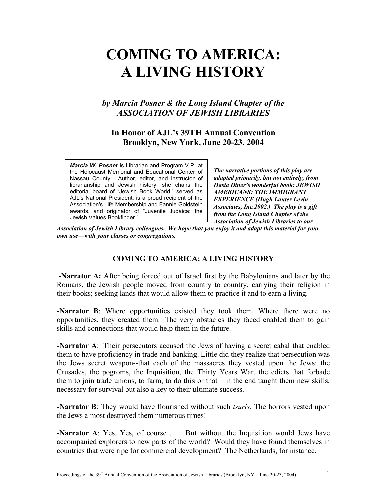# **COMING TO AMERICA: A LIVING HISTORY**

# *by Marcia Posner & the Long Island Chapter of the ASSOCIATION OF JEWISH LIBRARIES*

# **In Honor of AJL's 39TH Annual Convention Brooklyn, New York, June 20-23, 2004**

*Marcia W. Posner* is Librarian and Program V.P. at the Holocaust Memorial and Educational Center of Nassau County. Author, editor, and instructor of librarianship and Jewish history, she chairs the editorial board of "Jewish Book World," served as AJL's National President, is a proud recipient of the Association's Life Membership and Fannie Goldstein awards, and originator of "Juvenile Judaica: the Jewish Values Bookfinder."

*The narrative portions of this play are adapted primarily, but not entirely, from Hasia Diner's wonderful book: JEWISH AMERICANS: THE IMMIGRANT EXPERIENCE (Hugh Lauter Levin Associates, Inc.2002.) The play is a gift from the Long Island Chapter of the Association of Jewish Libraries to our*

*Association of Jewish Library colleagues. We hope that you enjoy it and adapt this material for your own use—with your classes or congregations.* 

## **COMING TO AMERICA: A LIVING HISTORY**

**-Narrator A:** After being forced out of Israel first by the Babylonians and later by the Romans, the Jewish people moved from country to country, carrying their religion in their books; seeking lands that would allow them to practice it and to earn a living.

**-Narrator B**: Where opportunities existed they took them. Where there were no opportunities, they created them. The very obstacles they faced enabled them to gain skills and connections that would help them in the future.

**-Narrator A**: Their persecutors accused the Jews of having a secret cabal that enabled them to have proficiency in trade and banking. Little did they realize that persecution was the Jews secret weapon--that each of the massacres they vested upon the Jews: the Crusades, the pogroms, the Inquisition, the Thirty Years War, the edicts that forbade them to join trade unions, to farm, to do this or that—in the end taught them new skills, necessary for survival but also a key to their ultimate success.

**-Narrator B**: They would have flourished without such *tsuris*. The horrors vested upon the Jews almost destroyed them numerous times!

**-Narrator A**: Yes. Yes, of course . . . But without the Inquisition would Jews have accompanied explorers to new parts of the world? Would they have found themselves in countries that were ripe for commercial development? The Netherlands, for instance.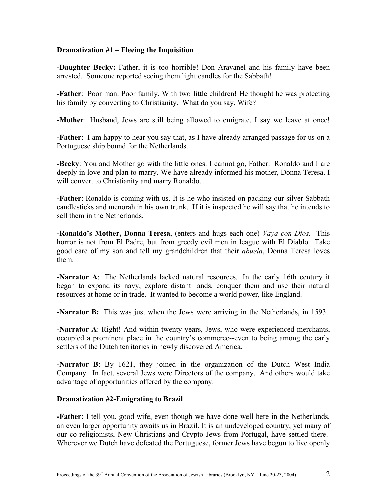## **Dramatization #1 – Fleeing the Inquisition**

**-Daughter Becky:** Father, it is too horrible! Don Aravanel and his family have been arrested. Someone reported seeing them light candles for the Sabbath!

**-Father**: Poor man. Poor family. With two little children! He thought he was protecting his family by converting to Christianity. What do you say, Wife?

**-Mothe**r: Husband, Jews are still being allowed to emigrate. I say we leave at once!

**-Father**: I am happy to hear you say that, as I have already arranged passage for us on a Portuguese ship bound for the Netherlands.

**-Becky**: You and Mother go with the little ones. I cannot go, Father. Ronaldo and I are deeply in love and plan to marry. We have already informed his mother, Donna Teresa. I will convert to Christianity and marry Ronaldo.

**-Father**: Ronaldo is coming with us. It is he who insisted on packing our silver Sabbath candlesticks and menorah in his own trunk. If it is inspected he will say that he intends to sell them in the Netherlands.

**-Ronaldo's Mother, Donna Teresa**, (enters and hugs each one) *Vaya con Dios.* This horror is not from El Padre, but from greedy evil men in league with El Diablo. Take good care of my son and tell my grandchildren that their *abuela*, Donna Teresa loves them.

**-Narrator A**: The Netherlands lacked natural resources. In the early 16th century it began to expand its navy, explore distant lands, conquer them and use their natural resources at home or in trade. It wanted to become a world power, like England.

**-Narrator B:** This was just when the Jews were arriving in the Netherlands, in 1593.

**-Narrator A**: Right! And within twenty years, Jews, who were experienced merchants, occupied a prominent place in the country's commerce--even to being among the early settlers of the Dutch territories in newly discovered America.

**-Narrator B**: By 1621, they joined in the organization of the Dutch West India Company. In fact, several Jews were Directors of the company. And others would take advantage of opportunities offered by the company.

## **Dramatization #2-Emigrating to Brazil**

**-Father:** I tell you, good wife, even though we have done well here in the Netherlands, an even larger opportunity awaits us in Brazil. It is an undeveloped country, yet many of our co-religionists, New Christians and Crypto Jews from Portugal, have settled there. Wherever we Dutch have defeated the Portuguese, former Jews have begun to live openly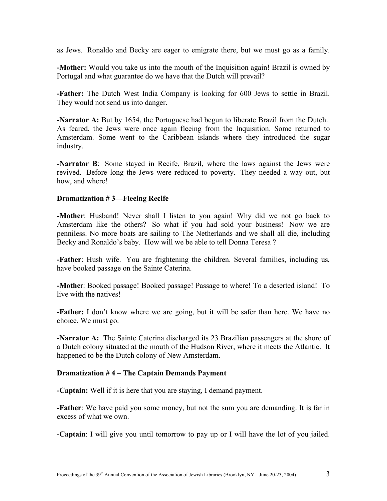as Jews. Ronaldo and Becky are eager to emigrate there, but we must go as a family.

**-Mother:** Would you take us into the mouth of the Inquisition again! Brazil is owned by Portugal and what guarantee do we have that the Dutch will prevail?

**-Father:** The Dutch West India Company is looking for 600 Jews to settle in Brazil. They would not send us into danger.

**-Narrator A:** But by 1654, the Portuguese had begun to liberate Brazil from the Dutch. As feared, the Jews were once again fleeing from the Inquisition. Some returned to Amsterdam. Some went to the Caribbean islands where they introduced the sugar industry.

**-Narrator B**: Some stayed in Recife, Brazil, where the laws against the Jews were revived. Before long the Jews were reduced to poverty. They needed a way out, but how, and where!

## **Dramatization # 3—Fleeing Recife**

**-Mother**: Husband! Never shall I listen to you again! Why did we not go back to Amsterdam like the others? So what if you had sold your business! Now we are penniless. No more boats are sailing to The Netherlands and we shall all die, including Becky and Ronaldo's baby. How will we be able to tell Donna Teresa ?

**-Father**: Hush wife. You are frightening the children. Several families, including us, have booked passage on the Sainte Caterina.

**-Mothe**r: Booked passage! Booked passage! Passage to where! To a deserted island! To live with the natives!

**-Father:** I don't know where we are going, but it will be safer than here. We have no choice. We must go.

**-Narrator A:** The Sainte Caterina discharged its 23 Brazilian passengers at the shore of a Dutch colony situated at the mouth of the Hudson River, where it meets the Atlantic. It happened to be the Dutch colony of New Amsterdam.

## **Dramatization # 4 – The Captain Demands Payment**

**-Captain:** Well if it is here that you are staying, I demand payment.

**-Father**: We have paid you some money, but not the sum you are demanding. It is far in excess of what we own.

**-Captain**: I will give you until tomorrow to pay up or I will have the lot of you jailed.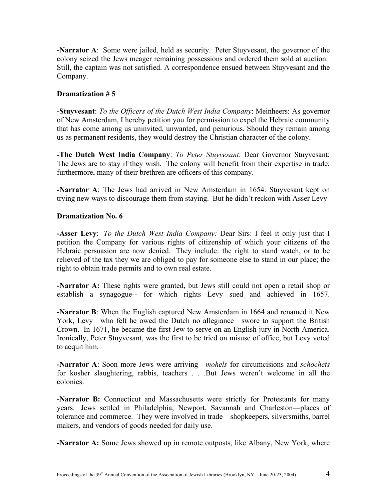**-Narrator A**: Some were jailed, held as security. Peter Stuyvesant, the governor of the colony seized the Jews meager remaining possessions and ordered them sold at auction. Still, the captain was not satisfied. A correspondence ensued between Stuyvesant and the Company.

## **Dramatization # 5**

**-Stuyvesant**: *To the Officers of the Dutch West India Company*: Meinheers: As governor of New Amsterdam, I hereby petition you for permission to expel the Hebraic community that has come among us uninvited, unwanted, and penurious. Should they remain among us as permanent residents, they would destroy the Christian character of the colony.

**-The Dutch West India Company**: *To Peter Stuyvesant*: Dear Governor Stuyvesant: The Jews are to stay if they wish. The colony will benefit from their expertise in trade; furthermore, many of their brethren are officers of this company.

**-Narrator A**: The Jews had arrived in New Amsterdam in 1654. Stuyvesant kept on trying new ways to discourage them from staying. But he didn't reckon with Asser Levy

## **Dramatization No. 6**

**-Asser Levy**: *To the Dutch West India Company:* Dear Sirs: I feel it only just that I petition the Company for various rights of citizenship of which your citizens of the Hebraic persuasion are now denied. They include: the right to stand watch, or to be relieved of the tax they we are obliged to pay for someone else to stand in our place; the right to obtain trade permits and to own real estate.

**-Narrator A:** These rights were granted, but Jews still could not open a retail shop or establish a synagogue-- for which rights Levy sued and achieved in 1657.

**-Narrator B**: When the English captured New Amsterdam in 1664 and renamed it New York, Levy—who felt he owed the Dutch no allegiance—swore to support the British Crown. In 1671, he became the first Jew to serve on an English jury in North America. Ironically, Peter Stuyvesant, was the first to be tried on misuse of office, but Levy voted to acquit him.

**-Narrator A**: Soon more Jews were arriving—*mohels* for circumcisions and *schochets* for kosher slaughtering, rabbis, teachers . . .But Jews weren't welcome in all the colonies.

**-Narrator B:** Connecticut and Massachusetts were strictly for Protestants for many years. Jews settled in Philadelphia, Newport, Savannah and Charleston—places of tolerance and commerce. They were involved in trade—shopkeepers, silversmiths, barrel makers, and vendors of goods needed for daily use.

**-Narrator A:** Some Jews showed up in remote outposts, like Albany, New York, where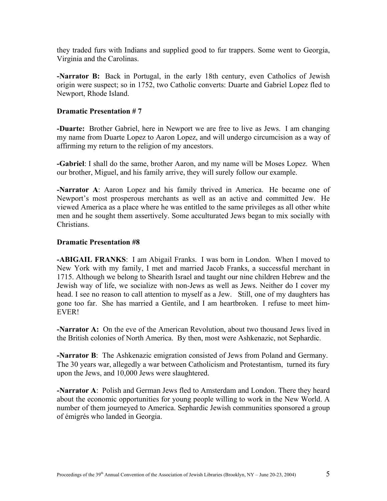they traded furs with Indians and supplied good to fur trappers. Some went to Georgia, Virginia and the Carolinas.

**-Narrator B:** Back in Portugal, in the early 18th century, even Catholics of Jewish origin were suspect; so in 1752, two Catholic converts: Duarte and Gabriel Lopez fled to Newport, Rhode Island.

## **Dramatic Presentation # 7**

**-Duarte:** Brother Gabriel, here in Newport we are free to live as Jews. I am changing my name from Duarte Lopez to Aaron Lopez, and will undergo circumcision as a way of affirming my return to the religion of my ancestors.

**-Gabriel**: I shall do the same, brother Aaron, and my name will be Moses Lopez. When our brother, Miguel, and his family arrive, they will surely follow our example.

**-Narrator A**: Aaron Lopez and his family thrived in America. He became one of Newport's most prosperous merchants as well as an active and committed Jew. He viewed America as a place where he was entitled to the same privileges as all other white men and he sought them assertively. Some acculturated Jews began to mix socially with Christians.

## **Dramatic Presentation #8**

**-ABIGAIL FRANKS**: I am Abigail Franks. I was born in London. When I moved to New York with my family, I met and married Jacob Franks, a successful merchant in 1715. Although we belong to Shearith Israel and taught our nine children Hebrew and the Jewish way of life, we socialize with non-Jews as well as Jews. Neither do I cover my head. I see no reason to call attention to myself as a Jew. Still, one of my daughters has gone too far. She has married a Gentile, and I am heartbroken. I refuse to meet him-EVER!

**-Narrator A:** On the eve of the American Revolution, about two thousand Jews lived in the British colonies of North America. By then, most were Ashkenazic, not Sephardic.

**-Narrator B**: The Ashkenazic emigration consisted of Jews from Poland and Germany. The 30 years war, allegedly a war between Catholicism and Protestantism, turned its fury upon the Jews, and 10,000 Jews were slaughtered.

**-Narrator A**: Polish and German Jews fled to Amsterdam and London. There they heard about the economic opportunities for young people willing to work in the New World. A number of them journeyed to America. Sephardic Jewish communities sponsored a group of émigrés who landed in Georgia.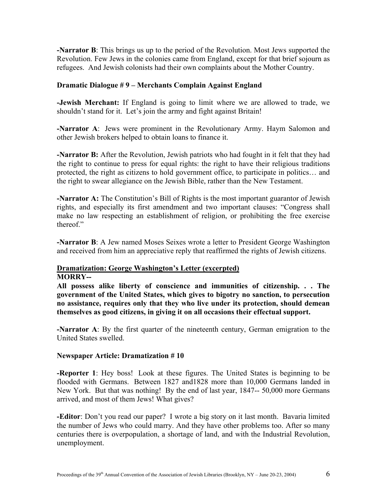**-Narrator B**: This brings us up to the period of the Revolution. Most Jews supported the Revolution. Few Jews in the colonies came from England, except for that brief sojourn as refugees. And Jewish colonists had their own complaints about the Mother Country.

## **Dramatic Dialogue # 9 – Merchants Complain Against England**

**-Jewish Merchant:** If England is going to limit where we are allowed to trade, we shouldn't stand for it. Let's join the army and fight against Britain!

**-Narrator A**: Jews were prominent in the Revolutionary Army. Haym Salomon and other Jewish brokers helped to obtain loans to finance it.

**-Narrator B:** After the Revolution, Jewish patriots who had fought in it felt that they had the right to continue to press for equal rights: the right to have their religious traditions protected, the right as citizens to hold government office, to participate in politics… and the right to swear allegiance on the Jewish Bible, rather than the New Testament.

**-Narrator A:** The Constitution's Bill of Rights is the most important guarantor of Jewish rights, and especially its first amendment and two important clauses: "Congress shall make no law respecting an establishment of religion, or prohibiting the free exercise thereof."

**-Narrator B**: A Jew named Moses Seixes wrote a letter to President George Washington and received from him an appreciative reply that reaffirmed the rights of Jewish citizens.

#### **Dramatization: George Washington's Letter (excerpted) MORRY--**

**All possess alike liberty of conscience and immunities of citizenship. . . The government of the United States, which gives to bigotry no sanction, to persecution no assistance, requires only that they who live under its protection, should demean themselves as good citizens, in giving it on all occasions their effectual support.** 

**-Narrator A**: By the first quarter of the nineteenth century, German emigration to the United States swelled.

## **Newspaper Article: Dramatization # 10**

**-Reporter 1**: Hey boss! Look at these figures. The United States is beginning to be flooded with Germans. Between 1827 and1828 more than 10,000 Germans landed in New York. But that was nothing! By the end of last year, 1847-- 50,000 more Germans arrived, and most of them Jews! What gives?

**-Editor**: Don't you read our paper? I wrote a big story on it last month. Bavaria limited the number of Jews who could marry. And they have other problems too. After so many centuries there is overpopulation, a shortage of land, and with the Industrial Revolution, unemployment.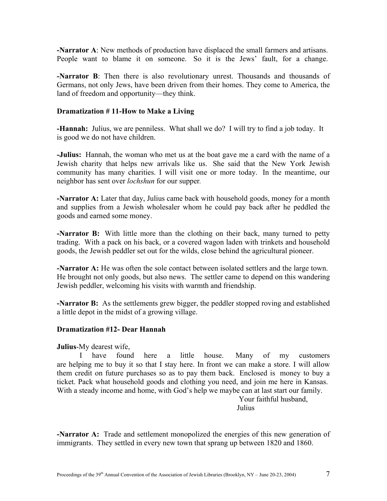**-Narrator A**: New methods of production have displaced the small farmers and artisans. People want to blame it on someone. So it is the Jews' fault, for a change.

**-Narrator B**: Then there is also revolutionary unrest. Thousands and thousands of Germans, not only Jews, have been driven from their homes. They come to America, the land of freedom and opportunity—they think.

## **Dramatization # 11-How to Make a Living**

**-Hannah:** Julius, we are penniless. What shall we do? I will try to find a job today. It is good we do not have children.

**-Julius:** Hannah, the woman who met us at the boat gave me a card with the name of a Jewish charity that helps new arrivals like us. She said that the New York Jewish community has many charities. I will visit one or more today. In the meantime, our neighbor has sent over *lochshun* for our supper*.* 

**-Narrator A:** Later that day, Julius came back with household goods, money for a month and supplies from a Jewish wholesaler whom he could pay back after he peddled the goods and earned some money.

**-Narrator B:** With little more than the clothing on their back, many turned to petty trading. With a pack on his back, or a covered wagon laden with trinkets and household goods, the Jewish peddler set out for the wilds, close behind the agricultural pioneer.

**-Narrator A:** He was often the sole contact between isolated settlers and the large town. He brought not only goods, but also news. The settler came to depend on this wandering Jewish peddler, welcoming his visits with warmth and friendship.

**-Narrator B:** As the settlements grew bigger, the peddler stopped roving and established a little depot in the midst of a growing village.

#### **Dramatization #12- Dear Hannah**

#### **Julius**-My dearest wife,

I have found here a little house. Many of my customers are helping me to buy it so that I stay here. In front we can make a store. I will allow them credit on future purchases so as to pay them back. Enclosed is money to buy a ticket. Pack what household goods and clothing you need, and join me here in Kansas. With a steady income and home, with God's help we maybe can at last start our family.

Your faithful husband, **Julius** 

**-Narrator A:** Trade and settlement monopolized the energies of this new generation of immigrants. They settled in every new town that sprang up between 1820 and 1860.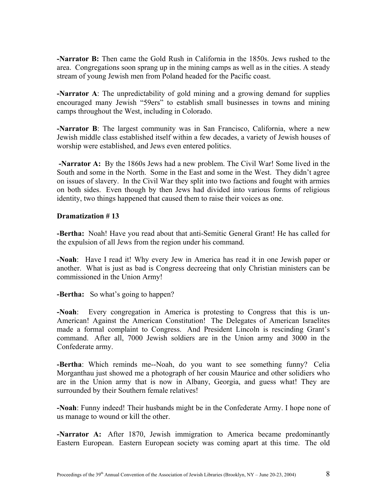**-Narrator B:** Then came the Gold Rush in California in the 1850s. Jews rushed to the area. Congregations soon sprang up in the mining camps as well as in the cities. A steady stream of young Jewish men from Poland headed for the Pacific coast.

**-Narrator A**: The unpredictability of gold mining and a growing demand for supplies encouraged many Jewish "59ers" to establish small businesses in towns and mining camps throughout the West, including in Colorado.

**-Narrator B**: The largest community was in San Francisco, California, where a new Jewish middle class established itself within a few decades, a variety of Jewish houses of worship were established, and Jews even entered politics.

 **-Narrator A:** By the 1860s Jews had a new problem. The Civil War! Some lived in the South and some in the North. Some in the East and some in the West. They didn't agree on issues of slavery. In the Civil War they split into two factions and fought with armies on both sides. Even though by then Jews had divided into various forms of religious identity, two things happened that caused them to raise their voices as one.

## **Dramatization # 13**

**-Bertha:** Noah! Have you read about that anti-Semitic General Grant! He has called for the expulsion of all Jews from the region under his command.

**-Noah**: Have I read it! Why every Jew in America has read it in one Jewish paper or another. What is just as bad is Congress decreeing that only Christian ministers can be commissioned in the Union Army!

**-Bertha:** So what's going to happen?

**-Noah**: Every congregation in America is protesting to Congress that this is un-American! Against the American Constitution! The Delegates of American Israelites made a formal complaint to Congress. And President Lincoln is rescinding Grant's command. After all, 7000 Jewish soldiers are in the Union army and 3000 in the Confederate army.

**-Bertha**: Which reminds me--Noah, do you want to see something funny? Celia Morganthau just showed me a photograph of her cousin Maurice and other solidiers who are in the Union army that is now in Albany, Georgia, and guess what! They are surrounded by their Southern female relatives!

**-Noah**: Funny indeed! Their husbands might be in the Confederate Army. I hope none of us manage to wound or kill the other.

**-Narrator A:** After 1870, Jewish immigration to America became predominantly Eastern European. Eastern European society was coming apart at this time. The old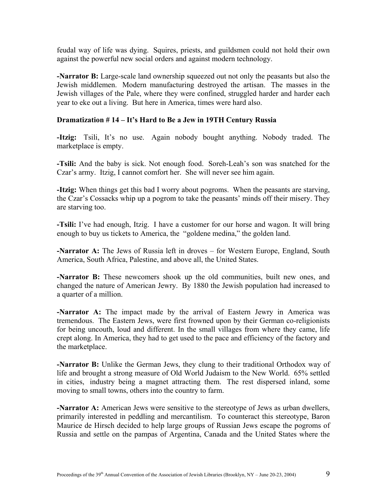feudal way of life was dying. Squires, priests, and guildsmen could not hold their own against the powerful new social orders and against modern technology.

**-Narrator B:** Large-scale land ownership squeezed out not only the peasants but also the Jewish middlemen. Modern manufacturing destroyed the artisan. The masses in the Jewish villages of the Pale, where they were confined, struggled harder and harder each year to eke out a living. But here in America, times were hard also.

## **Dramatization # 14 – It's Hard to Be a Jew in 19TH Century Russia**

**-Itzig:** Tsili, It's no use. Again nobody bought anything. Nobody traded. The marketplace is empty.

**-Tsili:** And the baby is sick. Not enough food. Soreh-Leah's son was snatched for the Czar's army. Itzig, I cannot comfort her. She will never see him again.

**-Itzig:** When things get this bad I worry about pogroms. When the peasants are starving, the Czar's Cossacks whip up a pogrom to take the peasants' minds off their misery. They are starving too.

**-Tsili:** I've had enough, Itzig. I have a customer for our horse and wagon. It will bring enough to buy us tickets to America, the "goldene medina," the golden land.

**-Narrator A:** The Jews of Russia left in droves – for Western Europe, England, South America, South Africa, Palestine, and above all, the United States.

**-Narrator B:** These newcomers shook up the old communities, built new ones, and changed the nature of American Jewry. By 1880 the Jewish population had increased to a quarter of a million.

**-Narrator A:** The impact made by the arrival of Eastern Jewry in America was tremendous. The Eastern Jews, were first frowned upon by their German co-religionists for being uncouth, loud and different. In the small villages from where they came, life crept along. In America, they had to get used to the pace and efficiency of the factory and the marketplace.

**-Narrator B:** Unlike the German Jews, they clung to their traditional Orthodox way of life and brought a strong measure of Old World Judaism to the New World. 65% settled in cities, industry being a magnet attracting them. The rest dispersed inland, some moving to small towns, others into the country to farm.

**-Narrator A:** American Jews were sensitive to the stereotype of Jews as urban dwellers, primarily interested in peddling and mercantilism. To counteract this stereotype, Baron Maurice de Hirsch decided to help large groups of Russian Jews escape the pogroms of Russia and settle on the pampas of Argentina, Canada and the United States where the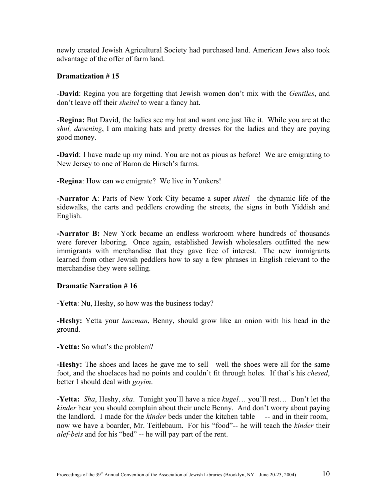newly created Jewish Agricultural Society had purchased land. American Jews also took advantage of the offer of farm land.

## **Dramatization # 15**

-**David**: Regina you are forgetting that Jewish women don't mix with the *Gentiles*, and don't leave off their *sheitel* to wear a fancy hat.

*-***Regina:** But David, the ladies see my hat and want one just like it. While you are at the *shul, davening*, I am making hats and pretty dresses for the ladies and they are paying good money.

**-David**: I have made up my mind. You are not as pious as before! We are emigrating to New Jersey to one of Baron de Hirsch's farms.

-**Regina**: How can we emigrate? We live in Yonkers!

**-Narrator A**: Parts of New York City became a super *shtetl*—the dynamic life of the sidewalks, the carts and peddlers crowding the streets, the signs in both Yiddish and English.

**-Narrator B:** New York became an endless workroom where hundreds of thousands were forever laboring. Once again, established Jewish wholesalers outfitted the new immigrants with merchandise that they gave free of interest. The new immigrants learned from other Jewish peddlers how to say a few phrases in English relevant to the merchandise they were selling.

#### **Dramatic Narration # 16**

**-Yetta**: Nu, Heshy, so how was the business today?

**-Heshy:** Yetta your *lanzman*, Benny, should grow like an onion with his head in the ground.

**-Yetta:** So what's the problem?

**-Heshy:** The shoes and laces he gave me to sell—well the shoes were all for the same foot, and the shoelaces had no points and couldn't fit through holes. If that's his *chesed*, better I should deal with *goyim*.

**-Yetta:** *Sha*, Heshy, *sha*. Tonight you'll have a nice *kugel*… you'll rest… Don't let the *kinder* hear you should complain about their uncle Benny. And don't worry about paying the landlord. I made for the *kinder* beds under the kitchen table— -- and in their room, now we have a boarder, Mr. Teitlebaum. For his "food"-- he will teach the *kinder* their *alef-beis* and for his "bed" -- he will pay part of the rent.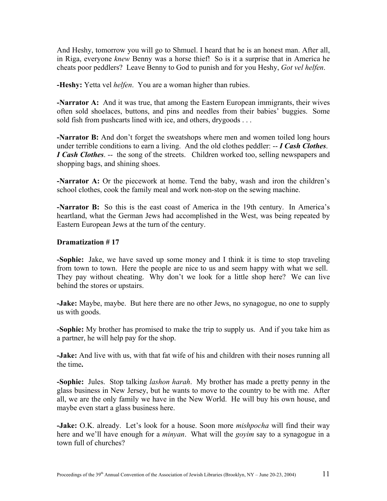And Heshy, tomorrow you will go to Shmuel. I heard that he is an honest man. After all, in Riga, everyone *knew* Benny was a horse thief! So is it a surprise that in America he cheats poor peddlers? Leave Benny to God to punish and for you Heshy, *Got vel helfen*.

**-Heshy:** Yetta vel *helfen*. You are a woman higher than rubies.

**-Narrator A:** And it was true, that among the Eastern European immigrants, their wives often sold shoelaces, buttons, and pins and needles from their babies' buggies. Some sold fish from pushcarts lined with ice, and others, drygoods . . .

**-Narrator B:** And don't forget the sweatshops where men and women toiled long hours under terrible conditions to earn a living. And the old clothes peddler: -- *I Cash Clothes*. *I Cash Clothes.* -- the song of the streets. Children worked too, selling newspapers and shopping bags, and shining shoes.

**-Narrator A:** Or the piecework at home. Tend the baby, wash and iron the children's school clothes, cook the family meal and work non-stop on the sewing machine.

**-Narrator B:** So this is the east coast of America in the 19th century. In America's heartland, what the German Jews had accomplished in the West, was being repeated by Eastern European Jews at the turn of the century.

## **Dramatization # 17**

**-Sophie:** Jake, we have saved up some money and I think it is time to stop traveling from town to town. Here the people are nice to us and seem happy with what we sell. They pay without cheating. Why don't we look for a little shop here? We can live behind the stores or upstairs.

**-Jake:** Maybe, maybe. But here there are no other Jews, no synagogue, no one to supply us with goods.

**-Sophie:** My brother has promised to make the trip to supply us. And if you take him as a partner, he will help pay for the shop.

**-Jake:** And live with us, with that fat wife of his and children with their noses running all the time**.** 

**-Sophie:** Jules. Stop talking *lashon harah*. My brother has made a pretty penny in the glass business in New Jersey, but he wants to move to the country to be with me. After all, we are the only family we have in the New World. He will buy his own house, and maybe even start a glass business here.

**-Jake:** O.K. already. Let's look for a house. Soon more *mishpocha* will find their way here and we'll have enough for a *minyan*. What will the *goyim* say to a synagogue in a town full of churches?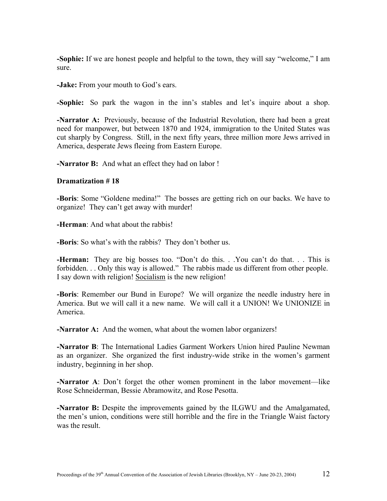**-Sophie:** If we are honest people and helpful to the town, they will say "welcome," I am sure.

**-Jake:** From your mouth to God's ears.

**-Sophie:** So park the wagon in the inn's stables and let's inquire about a shop.

**-Narrator A:** Previously, because of the Industrial Revolution, there had been a great need for manpower, but between 1870 and 1924, immigration to the United States was cut sharply by Congress. Still, in the next fifty years, three million more Jews arrived in America, desperate Jews fleeing from Eastern Europe.

**-Narrator B:** And what an effect they had on labor !

#### **Dramatization # 18**

**-Boris**: Some "Goldene medina!" The bosses are getting rich on our backs. We have to organize! They can't get away with murder!

**-Herman**: And what about the rabbis!

**-Boris**: So what's with the rabbis? They don't bother us.

**-Herman:** They are big bosses too. "Don't do this. . You can't do that. . . This is forbidden. . . Only this way is allowed." The rabbis made us different from other people. I say down with religion! Socialism is the new religion!

**-Boris**: Remember our Bund in Europe? We will organize the needle industry here in America. But we will call it a new name. We will call it a UNION! We UNIONIZE in America.

**-Narrator A:** And the women, what about the women labor organizers!

**-Narrator B**: The International Ladies Garment Workers Union hired Pauline Newman as an organizer. She organized the first industry-wide strike in the women's garment industry, beginning in her shop.

**-Narrator A**: Don't forget the other women prominent in the labor movement—like Rose Schneiderman, Bessie Abramowitz, and Rose Pesotta.

**-Narrator B:** Despite the improvements gained by the ILGWU and the Amalgamated, the men's union, conditions were still horrible and the fire in the Triangle Waist factory was the result.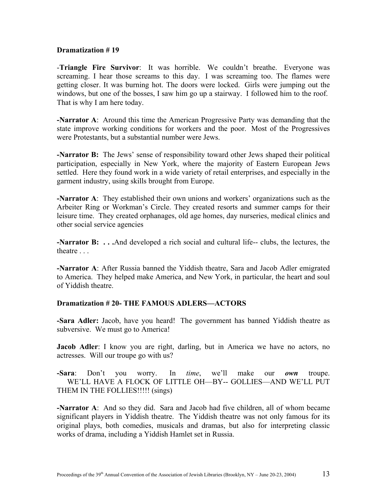#### **Dramatization # 19**

-**Triangle Fire Survivor**: It was horrible. We couldn't breathe. Everyone was screaming. I hear those screams to this day. I was screaming too. The flames were getting closer. It was burning hot. The doors were locked. Girls were jumping out the windows, but one of the bosses, I saw him go up a stairway. I followed him to the roof. That is why I am here today.

**-Narrator A**: Around this time the American Progressive Party was demanding that the state improve working conditions for workers and the poor. Most of the Progressives were Protestants, but a substantial number were Jews.

**-Narrator B:** The Jews' sense of responsibility toward other Jews shaped their political participation, especially in New York, where the majority of Eastern European Jews settled. Here they found work in a wide variety of retail enterprises, and especially in the garment industry, using skills brought from Europe.

**-Narrator A**: They established their own unions and workers' organizations such as the Arbeiter Ring or Workman's Circle. They created resorts and summer camps for their leisure time. They created orphanages, old age homes, day nurseries, medical clinics and other social service agencies

**-Narrator B:** . . .And developed a rich social and cultural life-- clubs, the lectures, the theatre . . .

**-Narrator A**: After Russia banned the Yiddish theatre, Sara and Jacob Adler emigrated to America. They helped make America, and New York, in particular, the heart and soul of Yiddish theatre.

## **Dramatization # 20- THE FAMOUS ADLERS—ACTORS**

**-Sara Adler:** Jacob, have you heard! The government has banned Yiddish theatre as subversive. We must go to America!

**Jacob Adler**: I know you are right, darling, but in America we have no actors, no actresses. Will our troupe go with us?

**-Sara**: Don't you worry. In *time*, we'll make our *own* troupe. WE'LL HAVE A FLOCK OF LITTLE OH—BY-- GOLLIES—AND WE'LL PUT THEM IN THE FOLLIES!!!!! (sings)

**-Narrator A**: And so they did. Sara and Jacob had five children, all of whom became significant players in Yiddish theatre. The Yiddish theatre was not only famous for its original plays, both comedies, musicals and dramas, but also for interpreting classic works of drama, including a Yiddish Hamlet set in Russia.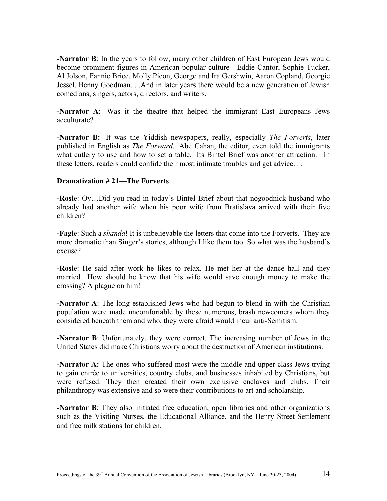**-Narrator B**: In the years to follow, many other children of East European Jews would become prominent figures in American popular culture—Eddie Cantor, Sophie Tucker, Al Jolson, Fannie Brice, Molly Picon, George and Ira Gershwin, Aaron Copland, Georgie Jessel, Benny Goodman. . .And in later years there would be a new generation of Jewish comedians, singers, actors, directors, and writers.

**-Narrator A**: Was it the theatre that helped the immigrant East Europeans Jews acculturate?

**-Narrator B:** It was the Yiddish newspapers, really, especially *The Forverts*, later published in English as *The Forward*. Abe Cahan, the editor, even told the immigrants what cutlery to use and how to set a table. Its Bintel Brief was another attraction. In these letters, readers could confide their most intimate troubles and get advice. . .

#### **Dramatization # 21—The Forverts**

**-Rosie**: Oy…Did you read in today's Bintel Brief about that nogoodnick husband who already had another wife when his poor wife from Bratislava arrived with their five children?

**-Fagie**: Such a *shanda*! It is unbelievable the letters that come into the Forverts. They are more dramatic than Singer's stories, although I like them too. So what was the husband's excuse?

**-Rosie**: He said after work he likes to relax. He met her at the dance hall and they married. How should he know that his wife would save enough money to make the crossing? A plague on him!

**-Narrator A**: The long established Jews who had begun to blend in with the Christian population were made uncomfortable by these numerous, brash newcomers whom they considered beneath them and who, they were afraid would incur anti-Semitism.

**-Narrator B**: Unfortunately, they were correct. The increasing number of Jews in the United States did make Christians worry about the destruction of American institutions.

**-Narrator A:** The ones who suffered most were the middle and upper class Jews trying to gain entrée to universities, country clubs, and businesses inhabited by Christians, but were refused. They then created their own exclusive enclaves and clubs. Their philanthropy was extensive and so were their contributions to art and scholarship.

**-Narrator B**: They also initiated free education, open libraries and other organizations such as the Visiting Nurses, the Educational Alliance, and the Henry Street Settlement and free milk stations for children.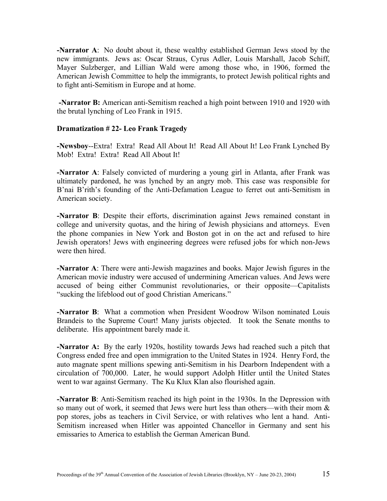**-Narrator A**: No doubt about it, these wealthy established German Jews stood by the new immigrants. Jews as: Oscar Straus, Cyrus Adler, Louis Marshall, Jacob Schiff, Mayer Sulzberger, and Lillian Wald were among those who, in 1906, formed the American Jewish Committee to help the immigrants, to protect Jewish political rights and to fight anti-Semitism in Europe and at home.

**-Narrator B:** American anti-Semitism reached a high point between 1910 and 1920 with the brutal lynching of Leo Frank in 1915.

## **Dramatization # 22- Leo Frank Tragedy**

**-Newsboy**--Extra! Extra! Read All About It! Read All About It! Leo Frank Lynched By Mob! Extra! Extra! Read All About It!

**-Narrator A**: Falsely convicted of murdering a young girl in Atlanta, after Frank was ultimately pardoned, he was lynched by an angry mob. This case was responsible for B'nai B'rith's founding of the Anti-Defamation League to ferret out anti-Semitism in American society.

**-Narrator B**: Despite their efforts, discrimination against Jews remained constant in college and university quotas, and the hiring of Jewish physicians and attorneys. Even the phone companies in New York and Boston got in on the act and refused to hire Jewish operators! Jews with engineering degrees were refused jobs for which non-Jews were then hired.

**-Narrator A**: There were anti-Jewish magazines and books. Major Jewish figures in the American movie industry were accused of undermining American values. And Jews were accused of being either Communist revolutionaries, or their opposite—Capitalists "sucking the lifeblood out of good Christian Americans."

**-Narrator B**: What a commotion when President Woodrow Wilson nominated Louis Brandeis to the Supreme Court! Many jurists objected. It took the Senate months to deliberate. His appointment barely made it.

**-Narrator A:** By the early 1920s, hostility towards Jews had reached such a pitch that Congress ended free and open immigration to the United States in 1924. Henry Ford, the auto magnate spent millions spewing anti-Semitism in his Dearborn Independent with a circulation of 700,000. Later, he would support Adolph Hitler until the United States went to war against Germany. The Ku Klux Klan also flourished again.

**-Narrator B**: Anti-Semitism reached its high point in the 1930s. In the Depression with so many out of work, it seemed that Jews were hurt less than others—with their mom & pop stores, jobs as teachers in Civil Service, or with relatives who lent a hand. Anti-Semitism increased when Hitler was appointed Chancellor in Germany and sent his emissaries to America to establish the German American Bund.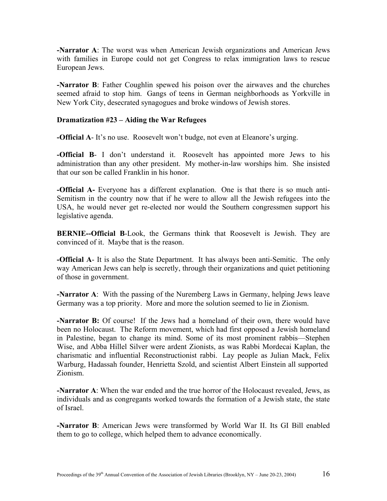**-Narrator A**: The worst was when American Jewish organizations and American Jews with families in Europe could not get Congress to relax immigration laws to rescue European Jews.

**-Narrator B**: Father Coughlin spewed his poison over the airwaves and the churches seemed afraid to stop him. Gangs of teens in German neighborhoods as Yorkville in New York City, desecrated synagogues and broke windows of Jewish stores.

## **Dramatization #23 – Aiding the War Refugees**

**-Official A**-It's no use. Roosevelt won't budge, not even at Eleanore's urging.

**-Official B-** I don't understand it. Roosevelt has appointed more Jews to his administration than any other president. My mother-in-law worships him. She insisted that our son be called Franklin in his honor.

**-Official A-** Everyone has a different explanation. One is that there is so much anti-Semitism in the country now that if he were to allow all the Jewish refugees into the USA, he would never get re-elected nor would the Southern congressmen support his legislative agenda.

**BERNIE--Official B**-Look, the Germans think that Roosevelt is Jewish. They are convinced of it. Maybe that is the reason.

**-Official A**- It is also the State Department. It has always been anti-Semitic. The only way American Jews can help is secretly, through their organizations and quiet petitioning of those in government.

**-Narrator A**: With the passing of the Nuremberg Laws in Germany, helping Jews leave Germany was a top priority. More and more the solution seemed to lie in Zionism.

**-Narrator B:** Of course! If the Jews had a homeland of their own, there would have been no Holocaust. The Reform movement, which had first opposed a Jewish homeland in Palestine, began to change its mind. Some of its most prominent rabbis—Stephen Wise, and Abba Hillel Silver were ardent Zionists, as was Rabbi Mordecai Kaplan, the charismatic and influential Reconstructionist rabbi. Lay people as Julian Mack, Felix Warburg, Hadassah founder, Henrietta Szold, and scientist Albert Einstein all supported Zionism.

**-Narrator A**: When the war ended and the true horror of the Holocaust revealed, Jews, as individuals and as congregants worked towards the formation of a Jewish state, the state of Israel.

**-Narrator B**: American Jews were transformed by World War II. Its GI Bill enabled them to go to college, which helped them to advance economically.